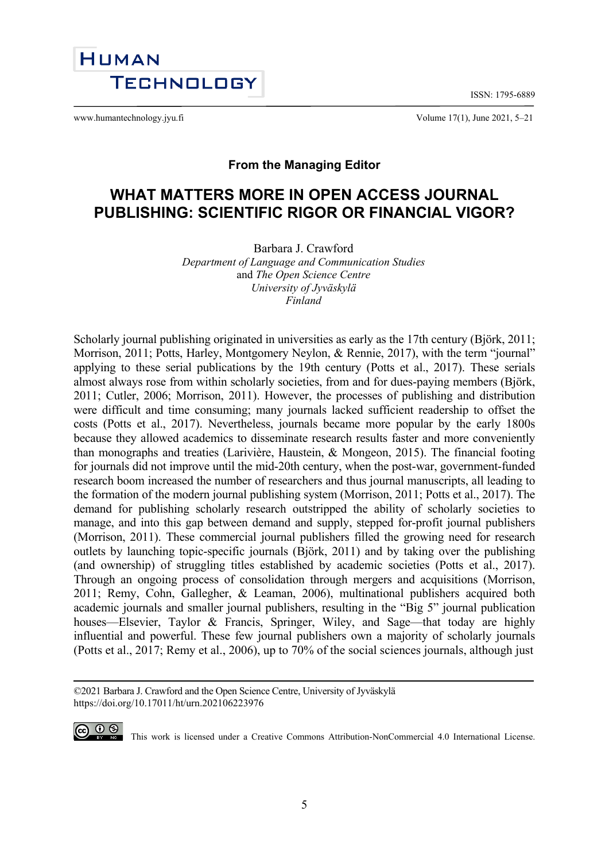ISSN: 1795-6889



www.humantechnology.jyu.fi Volume 17(1), June 2021, 5–21

## **From the Managing Editor**

# **WHAT MATTERS MORE IN OPEN ACCESS JOURNAL PUBLISHING: SCIENTIFIC RIGOR OR FINANCIAL VIGOR?**

Barbara J. Crawford

*Department of Language and Communication Studies* and *The Open Science Centre University of Jyväskylä Finland*

Scholarly journal publishing originated in universities as early as the 17th century (Björk, 2011; Morrison, 2011; Potts, Harley, Montgomery Neylon, & Rennie, 2017), with the term "journal" applying to these serial publications by the 19th century (Potts et al., 2017). These serials almost always rose from within scholarly societies, from and for dues-paying members (Björk, 2011; Cutler, 2006; Morrison, 2011). However, the processes of publishing and distribution were difficult and time consuming; many journals lacked sufficient readership to offset the costs (Potts et al., 2017). Nevertheless, journals became more popular by the early 1800s because they allowed academics to disseminate research results faster and more conveniently than monographs and treaties (Larivière, Haustein, & Mongeon, 2015). The financial footing for journals did not improve until the mid-20th century, when the post-war, government-funded research boom increased the number of researchers and thus journal manuscripts, all leading to the formation of the modern journal publishing system (Morrison, 2011; Potts et al., 2017). The demand for publishing scholarly research outstripped the ability of scholarly societies to manage, and into this gap between demand and supply, stepped for-profit journal publishers (Morrison, 2011). These commercial journal publishers filled the growing need for research outlets by launching topic-specific journals (Björk, 2011) and by taking over the publishing (and ownership) of struggling titles established by academic societies (Potts et al., 2017). Through an ongoing process of consolidation through mergers and acquisitions (Morrison, 2011; Remy, Cohn, Gallegher, & Leaman, 2006), multinational publishers acquired both academic journals and smaller journal publishers, resulting in the "Big 5" journal publication houses—Elsevier, Taylor & Francis, Springer, Wiley, and Sage—that today are highly influential and powerful. These few journal publishers own a majority of scholarly journals (Potts et al., 2017; Remy et al., 2006), up to 70% of the social sciences journals, although just

<sup>©2021</sup> Barbara J. Crawford and the Open Science Centre, University of Jyväskylä https://doi.org/10.17011/ht/urn.202106223976



CO  $\bigcirc$   $\bigcirc$   $\bigcirc$  This work is licensed under a [Creative Commons Attribution-NonCommercial 4.0 International License.](http://creativecommons.org/licenses/by-nc/4.0/)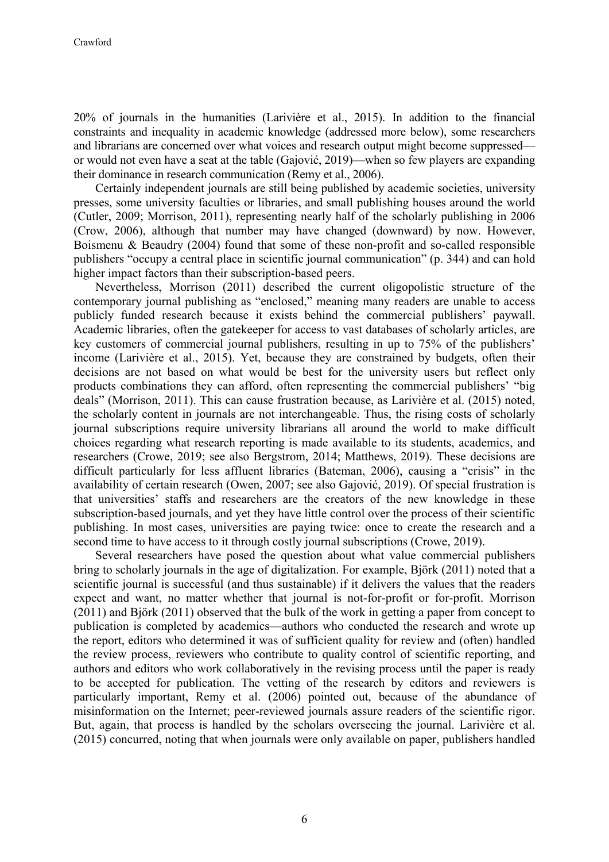20% of journals in the humanities (Larivière et al., 2015). In addition to the financial constraints and inequality in academic knowledge (addressed more below), some researchers and librarians are concerned over what voices and research output might become suppressed or would not even have a seat at the table (Gajović, 2019)—when so few players are expanding their dominance in research communication (Remy et al., 2006).

Certainly independent journals are still being published by academic societies, university presses, some university faculties or libraries, and small publishing houses around the world (Cutler, 2009; Morrison, 2011), representing nearly half of the scholarly publishing in 2006 (Crow, 2006), although that number may have changed (downward) by now. However, Boismenu & Beaudry (2004) found that some of these non-profit and so-called responsible publishers "occupy a central place in scientific journal communication" (p. 344) and can hold higher impact factors than their subscription-based peers.

Nevertheless, Morrison (2011) described the current oligopolistic structure of the contemporary journal publishing as "enclosed," meaning many readers are unable to access publicly funded research because it exists behind the commercial publishers' paywall. Academic libraries, often the gatekeeper for access to vast databases of scholarly articles, are key customers of commercial journal publishers, resulting in up to 75% of the publishers' income (Larivière et al., 2015). Yet, because they are constrained by budgets, often their decisions are not based on what would be best for the university users but reflect only products combinations they can afford, often representing the commercial publishers' "big deals" (Morrison, 2011). This can cause frustration because, as Larivière et al. (2015) noted, the scholarly content in journals are not interchangeable. Thus, the rising costs of scholarly journal subscriptions require university librarians all around the world to make difficult choices regarding what research reporting is made available to its students, academics, and researchers (Crowe, 2019; see also Bergstrom, 2014; Matthews, 2019). These decisions are difficult particularly for less affluent libraries (Bateman, 2006), causing a "crisis" in the availability of certain research (Owen, 2007; see also Gajović, 2019). Of special frustration is that universities' staffs and researchers are the creators of the new knowledge in these subscription-based journals, and yet they have little control over the process of their scientific publishing. In most cases, universities are paying twice: once to create the research and a second time to have access to it through costly journal subscriptions (Crowe, 2019).

Several researchers have posed the question about what value commercial publishers bring to scholarly journals in the age of digitalization. For example, Björk (2011) noted that a scientific journal is successful (and thus sustainable) if it delivers the values that the readers expect and want, no matter whether that journal is not-for-profit or for-profit. Morrison (2011) and Björk (2011) observed that the bulk of the work in getting a paper from concept to publication is completed by academics—authors who conducted the research and wrote up the report, editors who determined it was of sufficient quality for review and (often) handled the review process, reviewers who contribute to quality control of scientific reporting, and authors and editors who work collaboratively in the revising process until the paper is ready to be accepted for publication. The vetting of the research by editors and reviewers is particularly important, Remy et al. (2006) pointed out, because of the abundance of misinformation on the Internet; peer-reviewed journals assure readers of the scientific rigor. But, again, that process is handled by the scholars overseeing the journal. Larivière et al. (2015) concurred, noting that when journals were only available on paper, publishers handled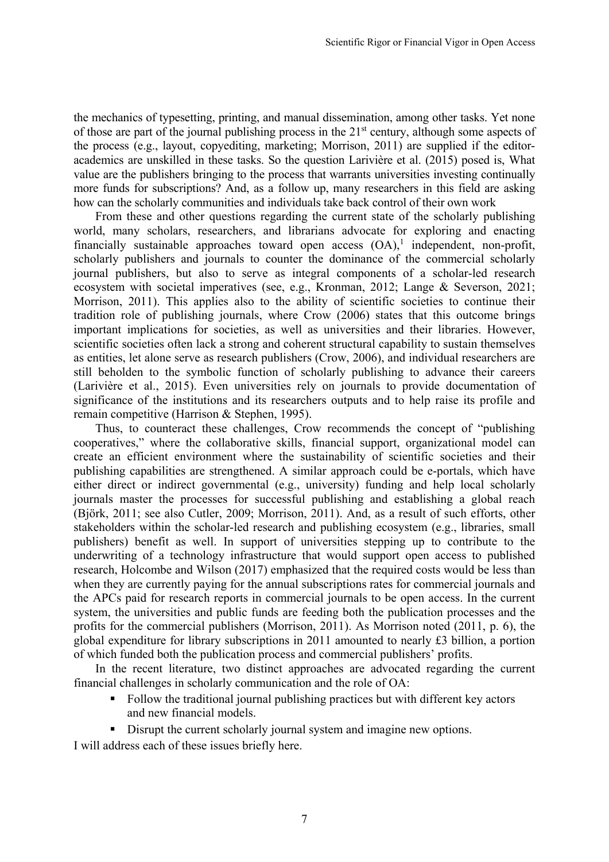the mechanics of typesetting, printing, and manual dissemination, among other tasks. Yet none of those are part of the journal publishing process in the 21<sup>st</sup> century, although some aspects of the process (e.g., layout, copyediting, marketing; Morrison, 2011) are supplied if the editoracademics are unskilled in these tasks. So the question Larivière et al. (2015) posed is, What value are the publishers bringing to the process that warrants universities investing continually more funds for subscriptions? And, as a follow up, many researchers in this field are asking how can the scholarly communities and individuals take back control of their own work

From these and other questions regarding the current state of the scholarly publishing world, many scholars, researchers, and librarians advocate for exploring and enacting financially sustainable approaches toward open access  $(OA)$ ,<sup>1</sup> independent, non-profit, scholarly publishers and journals to counter the dominance of the commercial scholarly journal publishers, but also to serve as integral components of a scholar-led research ecosystem with societal imperatives (see, e.g., Kronman, 2012; Lange & Severson, 2021; Morrison, 2011). This applies also to the ability of scientific societies to continue their tradition role of publishing journals, where Crow (2006) states that this outcome brings important implications for societies, as well as universities and their libraries. However, scientific societies often lack a strong and coherent structural capability to sustain themselves as entities, let alone serve as research publishers (Crow, 2006), and individual researchers are still beholden to the symbolic function of scholarly publishing to advance their careers (Larivière et al., 2015). Even universities rely on journals to provide documentation of significance of the institutions and its researchers outputs and to help raise its profile and remain competitive (Harrison & Stephen, 1995).

Thus, to counteract these challenges, Crow recommends the concept of "publishing cooperatives," where the collaborative skills, financial support, organizational model can create an efficient environment where the sustainability of scientific societies and their publishing capabilities are strengthened. A similar approach could be e-portals, which have either direct or indirect governmental (e.g., university) funding and help local scholarly journals master the processes for successful publishing and establishing a global reach (Björk, 2011; see also Cutler, 2009; Morrison, 2011). And, as a result of such efforts, other stakeholders within the scholar-led research and publishing ecosystem (e.g., libraries, small publishers) benefit as well. In support of universities stepping up to contribute to the underwriting of a technology infrastructure that would support open access to published research, Holcombe and Wilson (2017) emphasized that the required costs would be less than when they are currently paying for the annual subscriptions rates for commercial journals and the APCs paid for research reports in commercial journals to be open access. In the current system, the universities and public funds are feeding both the publication processes and the profits for the commercial publishers (Morrison, 2011). As Morrison noted (2011, p. 6), the global expenditure for library subscriptions in 2011 amounted to nearly £3 billion, a portion of which funded both the publication process and commercial publishers' profits.

In the recent literature, two distinct approaches are advocated regarding the current financial challenges in scholarly communication and the role of OA:

- Follow the traditional journal publishing practices but with different key actors and new financial models.
- Disrupt the current scholarly journal system and imagine new options.

I will address each of these issues briefly here.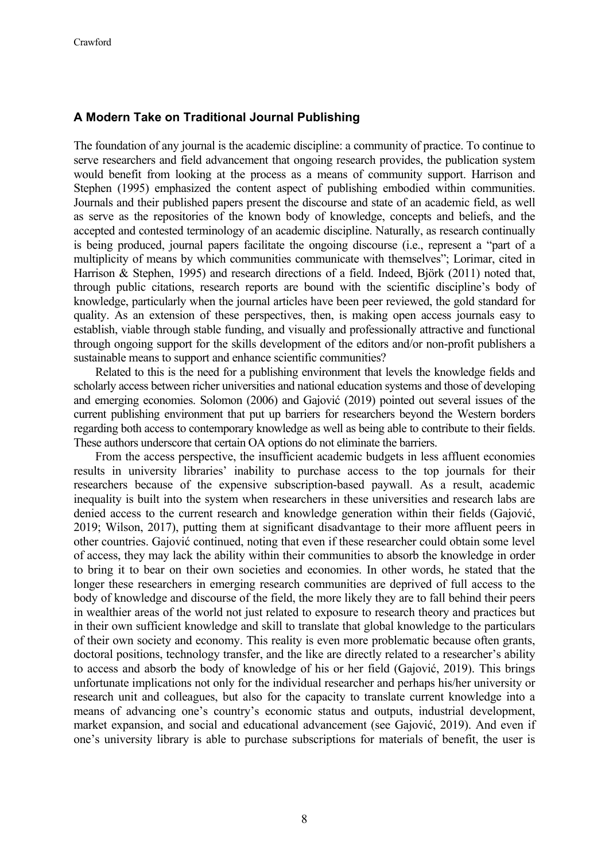#### **A Modern Take on Traditional Journal Publishing**

The foundation of any journal is the academic discipline: a community of practice. To continue to serve researchers and field advancement that ongoing research provides, the publication system would benefit from looking at the process as a means of community support. Harrison and Stephen (1995) emphasized the content aspect of publishing embodied within communities. Journals and their published papers present the discourse and state of an academic field, as well as serve as the repositories of the known body of knowledge, concepts and beliefs, and the accepted and contested terminology of an academic discipline. Naturally, as research continually is being produced, journal papers facilitate the ongoing discourse (i.e., represent a "part of a multiplicity of means by which communities communicate with themselves"; Lorimar, cited in Harrison & Stephen, 1995) and research directions of a field. Indeed, Björk (2011) noted that, through public citations, research reports are bound with the scientific discipline's body of knowledge, particularly when the journal articles have been peer reviewed, the gold standard for quality. As an extension of these perspectives, then, is making open access journals easy to establish, viable through stable funding, and visually and professionally attractive and functional through ongoing support for the skills development of the editors and/or non-profit publishers a sustainable means to support and enhance scientific communities?

Related to this is the need for a publishing environment that levels the knowledge fields and scholarly access between richer universities and national education systems and those of developing and emerging economies. Solomon (2006) and Gajović (2019) pointed out several issues of the current publishing environment that put up barriers for researchers beyond the Western borders regarding both access to contemporary knowledge as well as being able to contribute to their fields. These authors underscore that certain OA options do not eliminate the barriers.

From the access perspective, the insufficient academic budgets in less affluent economies results in university libraries' inability to purchase access to the top journals for their researchers because of the expensive subscription-based paywall. As a result, academic inequality is built into the system when researchers in these universities and research labs are denied access to the current research and knowledge generation within their fields (Gajović, 2019; Wilson, 2017), putting them at significant disadvantage to their more affluent peers in other countries. Gajović continued, noting that even if these researcher could obtain some level of access, they may lack the ability within their communities to absorb the knowledge in order to bring it to bear on their own societies and economies. In other words, he stated that the longer these researchers in emerging research communities are deprived of full access to the body of knowledge and discourse of the field, the more likely they are to fall behind their peers in wealthier areas of the world not just related to exposure to research theory and practices but in their own sufficient knowledge and skill to translate that global knowledge to the particulars of their own society and economy. This reality is even more problematic because often grants, doctoral positions, technology transfer, and the like are directly related to a researcher's ability to access and absorb the body of knowledge of his or her field (Gajović, 2019). This brings unfortunate implications not only for the individual researcher and perhaps his/her university or research unit and colleagues, but also for the capacity to translate current knowledge into a means of advancing one's country's economic status and outputs, industrial development, market expansion, and social and educational advancement (see Gajović, 2019). And even if one's university library is able to purchase subscriptions for materials of benefit, the user is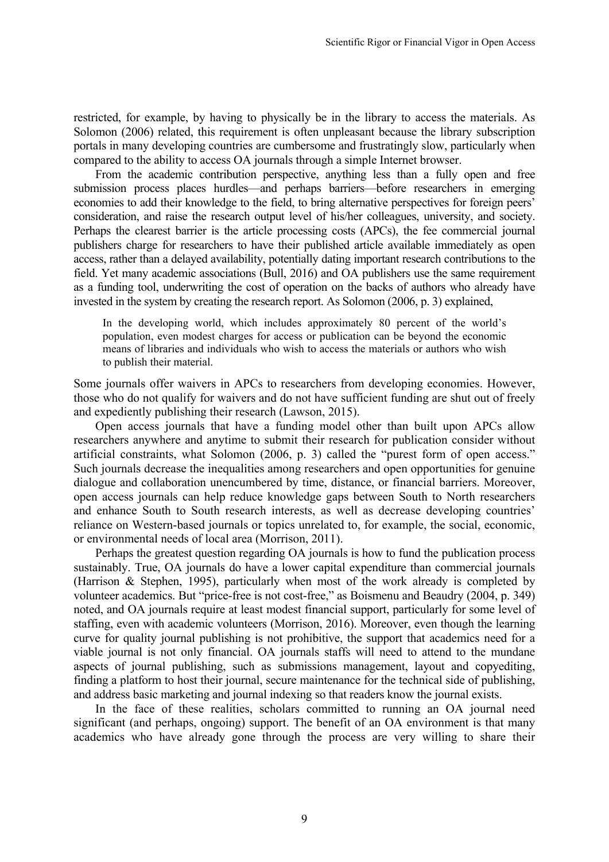restricted, for example, by having to physically be in the library to access the materials. As Solomon (2006) related, this requirement is often unpleasant because the library subscription portals in many developing countries are cumbersome and frustratingly slow, particularly when compared to the ability to access OA journals through a simple Internet browser.

From the academic contribution perspective, anything less than a fully open and free submission process places hurdles—and perhaps barriers—before researchers in emerging economies to add their knowledge to the field, to bring alternative perspectives for foreign peers' consideration, and raise the research output level of his/her colleagues, university, and society. Perhaps the clearest barrier is the article processing costs (APCs), the fee commercial journal publishers charge for researchers to have their published article available immediately as open access, rather than a delayed availability, potentially dating important research contributions to the field. Yet many academic associations (Bull, 2016) and OA publishers use the same requirement as a funding tool, underwriting the cost of operation on the backs of authors who already have invested in the system by creating the research report. As Solomon (2006, p. 3) explained,

In the developing world, which includes approximately 80 percent of the world's population, even modest charges for access or publication can be beyond the economic means of libraries and individuals who wish to access the materials or authors who wish to publish their material.

Some journals offer waivers in APCs to researchers from developing economies. However, those who do not qualify for waivers and do not have sufficient funding are shut out of freely and expediently publishing their research (Lawson, 2015).

Open access journals that have a funding model other than built upon APCs allow researchers anywhere and anytime to submit their research for publication consider without artificial constraints, what Solomon (2006, p. 3) called the "purest form of open access." Such journals decrease the inequalities among researchers and open opportunities for genuine dialogue and collaboration unencumbered by time, distance, or financial barriers. Moreover, open access journals can help reduce knowledge gaps between South to North researchers and enhance South to South research interests, as well as decrease developing countries' reliance on Western-based journals or topics unrelated to, for example, the social, economic, or environmental needs of local area (Morrison, 2011).

Perhaps the greatest question regarding OA journals is how to fund the publication process sustainably. True, OA journals do have a lower capital expenditure than commercial journals (Harrison & Stephen, 1995), particularly when most of the work already is completed by volunteer academics. But "price-free is not cost-free," as Boismenu and Beaudry (2004, p. 349) noted, and OA journals require at least modest financial support, particularly for some level of staffing, even with academic volunteers (Morrison, 2016). Moreover, even though the learning curve for quality journal publishing is not prohibitive, the support that academics need for a viable journal is not only financial. OA journals staffs will need to attend to the mundane aspects of journal publishing, such as submissions management, layout and copyediting, finding a platform to host their journal, secure maintenance for the technical side of publishing, and address basic marketing and journal indexing so that readers know the journal exists.

In the face of these realities, scholars committed to running an OA journal need significant (and perhaps, ongoing) support. The benefit of an OA environment is that many academics who have already gone through the process are very willing to share their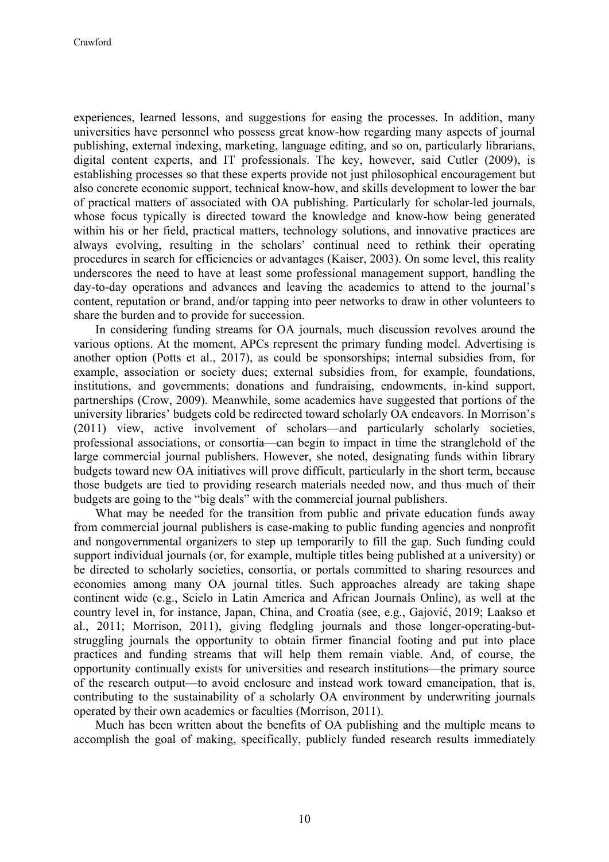experiences, learned lessons, and suggestions for easing the processes. In addition, many universities have personnel who possess great know-how regarding many aspects of journal publishing, external indexing, marketing, language editing, and so on, particularly librarians, digital content experts, and IT professionals. The key, however, said Cutler (2009), is establishing processes so that these experts provide not just philosophical encouragement but also concrete economic support, technical know-how, and skills development to lower the bar of practical matters of associated with OA publishing. Particularly for scholar-led journals, whose focus typically is directed toward the knowledge and know-how being generated within his or her field, practical matters, technology solutions, and innovative practices are always evolving, resulting in the scholars' continual need to rethink their operating procedures in search for efficiencies or advantages (Kaiser, 2003). On some level, this reality underscores the need to have at least some professional management support, handling the day-to-day operations and advances and leaving the academics to attend to the journal's content, reputation or brand, and/or tapping into peer networks to draw in other volunteers to share the burden and to provide for succession.

In considering funding streams for OA journals, much discussion revolves around the various options. At the moment, APCs represent the primary funding model. Advertising is another option (Potts et al., 2017), as could be sponsorships; internal subsidies from, for example, association or society dues; external subsidies from, for example, foundations, institutions, and governments; donations and fundraising, endowments, in-kind support, partnerships (Crow, 2009). Meanwhile, some academics have suggested that portions of the university libraries' budgets cold be redirected toward scholarly OA endeavors. In Morrison's (2011) view, active involvement of scholars—and particularly scholarly societies, professional associations, or consortia—can begin to impact in time the stranglehold of the large commercial journal publishers. However, she noted, designating funds within library budgets toward new OA initiatives will prove difficult, particularly in the short term, because those budgets are tied to providing research materials needed now, and thus much of their budgets are going to the "big deals" with the commercial journal publishers.

What may be needed for the transition from public and private education funds away from commercial journal publishers is case-making to public funding agencies and nonprofit and nongovernmental organizers to step up temporarily to fill the gap. Such funding could support individual journals (or, for example, multiple titles being published at a university) or be directed to scholarly societies, consortia, or portals committed to sharing resources and economies among many OA journal titles. Such approaches already are taking shape continent wide (e.g., Scielo in Latin America and African Journals Online), as well at the country level in, for instance, Japan, China, and Croatia (see, e.g., Gajović, 2019; Laakso et al., 2011; Morrison, 2011), giving fledgling journals and those longer-operating-butstruggling journals the opportunity to obtain firmer financial footing and put into place practices and funding streams that will help them remain viable. And, of course, the opportunity continually exists for universities and research institutions—the primary source of the research output—to avoid enclosure and instead work toward emancipation, that is, contributing to the sustainability of a scholarly OA environment by underwriting journals operated by their own academics or faculties (Morrison, 2011).

Much has been written about the benefits of OA publishing and the multiple means to accomplish the goal of making, specifically, publicly funded research results immediately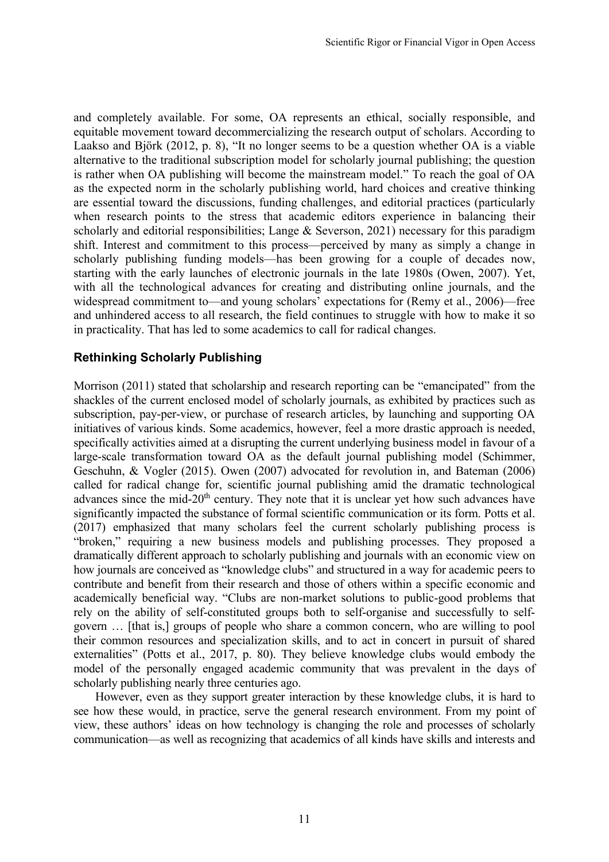and completely available. For some, OA represents an ethical, socially responsible, and equitable movement toward decommercializing the research output of scholars. According to Laakso and Björk (2012, p. 8), "It no longer seems to be a question whether OA is a viable alternative to the traditional subscription model for scholarly journal publishing; the question is rather when OA publishing will become the mainstream model." To reach the goal of OA as the expected norm in the scholarly publishing world, hard choices and creative thinking are essential toward the discussions, funding challenges, and editorial practices (particularly when research points to the stress that academic editors experience in balancing their scholarly and editorial responsibilities; Lange & Severson, 2021) necessary for this paradigm shift. Interest and commitment to this process—perceived by many as simply a change in scholarly publishing funding models—has been growing for a couple of decades now, starting with the early launches of electronic journals in the late 1980s (Owen, 2007). Yet, with all the technological advances for creating and distributing online journals, and the widespread commitment to—and young scholars' expectations for (Remy et al., 2006)—free and unhindered access to all research, the field continues to struggle with how to make it so in practicality. That has led to some academics to call for radical changes.

## **Rethinking Scholarly Publishing**

Morrison (2011) stated that scholarship and research reporting can be "emancipated" from the shackles of the current enclosed model of scholarly journals, as exhibited by practices such as subscription, pay-per-view, or purchase of research articles, by launching and supporting OA initiatives of various kinds. Some academics, however, feel a more drastic approach is needed, specifically activities aimed at a disrupting the current underlying business model in favour of a large-scale transformation toward OA as the default journal publishing model (Schimmer, Geschuhn, & Vogler (2015). Owen (2007) advocated for revolution in, and Bateman (2006) called for radical change for, scientific journal publishing amid the dramatic technological advances since the mid-20<sup>th</sup> century. They note that it is unclear yet how such advances have significantly impacted the substance of formal scientific communication or its form. Potts et al. (2017) emphasized that many scholars feel the current scholarly publishing process is "broken," requiring a new business models and publishing processes. They proposed a dramatically different approach to scholarly publishing and journals with an economic view on how journals are conceived as "knowledge clubs" and structured in a way for academic peers to contribute and benefit from their research and those of others within a specific economic and academically beneficial way. "Clubs are non-market solutions to public-good problems that rely on the ability of self-constituted groups both to self-organise and successfully to selfgovern … [that is,] groups of people who share a common concern, who are willing to pool their common resources and specialization skills, and to act in concert in pursuit of shared externalities" (Potts et al., 2017, p. 80). They believe knowledge clubs would embody the model of the personally engaged academic community that was prevalent in the days of scholarly publishing nearly three centuries ago.

However, even as they support greater interaction by these knowledge clubs, it is hard to see how these would, in practice, serve the general research environment. From my point of view, these authors' ideas on how technology is changing the role and processes of scholarly communication—as well as recognizing that academics of all kinds have skills and interests and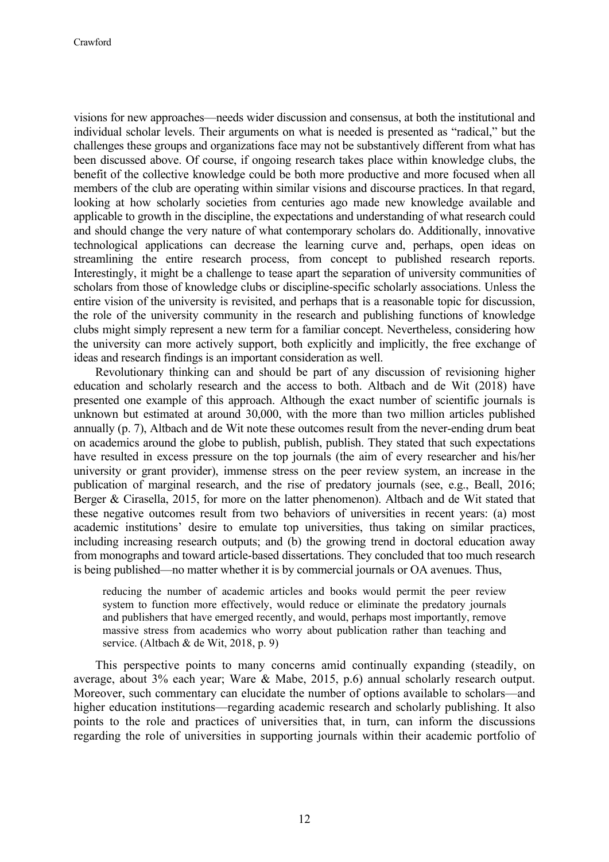visions for new approaches—needs wider discussion and consensus, at both the institutional and individual scholar levels. Their arguments on what is needed is presented as "radical," but the challenges these groups and organizations face may not be substantively different from what has been discussed above. Of course, if ongoing research takes place within knowledge clubs, the benefit of the collective knowledge could be both more productive and more focused when all members of the club are operating within similar visions and discourse practices. In that regard, looking at how scholarly societies from centuries ago made new knowledge available and applicable to growth in the discipline, the expectations and understanding of what research could and should change the very nature of what contemporary scholars do. Additionally, innovative technological applications can decrease the learning curve and, perhaps, open ideas on streamlining the entire research process, from concept to published research reports. Interestingly, it might be a challenge to tease apart the separation of university communities of scholars from those of knowledge clubs or discipline-specific scholarly associations. Unless the entire vision of the university is revisited, and perhaps that is a reasonable topic for discussion, the role of the university community in the research and publishing functions of knowledge clubs might simply represent a new term for a familiar concept. Nevertheless, considering how the university can more actively support, both explicitly and implicitly, the free exchange of ideas and research findings is an important consideration as well.

Revolutionary thinking can and should be part of any discussion of revisioning higher education and scholarly research and the access to both. Altbach and de Wit (2018) have presented one example of this approach. Although the exact number of scientific journals is unknown but estimated at around 30,000, with the more than two million articles published annually (p. 7), Altbach and de Wit note these outcomes result from the never-ending drum beat on academics around the globe to publish, publish, publish. They stated that such expectations have resulted in excess pressure on the top journals (the aim of every researcher and his/her university or grant provider), immense stress on the peer review system, an increase in the publication of marginal research, and the rise of predatory journals (see, e.g., Beall, 2016; Berger & Cirasella, 2015, for more on the latter phenomenon). Altbach and de Wit stated that these negative outcomes result from two behaviors of universities in recent years: (a) most academic institutions' desire to emulate top universities, thus taking on similar practices, including increasing research outputs; and (b) the growing trend in doctoral education away from monographs and toward article-based dissertations. They concluded that too much research is being published—no matter whether it is by commercial journals or OA avenues. Thus,

reducing the number of academic articles and books would permit the peer review system to function more effectively, would reduce or eliminate the predatory journals and publishers that have emerged recently, and would, perhaps most importantly, remove massive stress from academics who worry about publication rather than teaching and service. (Altbach & de Wit, 2018, p. 9)

This perspective points to many concerns amid continually expanding (steadily, on average, about 3% each year; Ware & Mabe, 2015, p.6) annual scholarly research output. Moreover, such commentary can elucidate the number of options available to scholars—and higher education institutions—regarding academic research and scholarly publishing. It also points to the role and practices of universities that, in turn, can inform the discussions regarding the role of universities in supporting journals within their academic portfolio of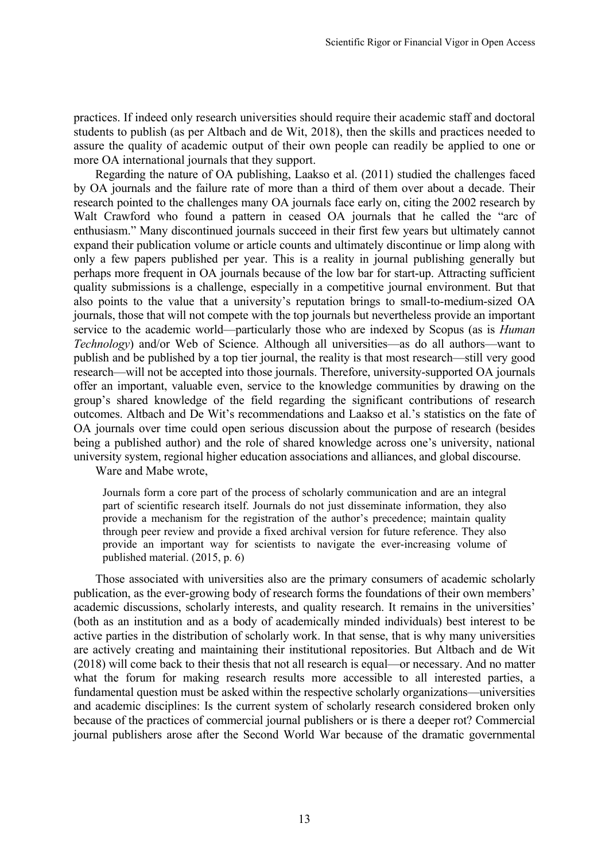practices. If indeed only research universities should require their academic staff and doctoral students to publish (as per Altbach and de Wit, 2018), then the skills and practices needed to assure the quality of academic output of their own people can readily be applied to one or more OA international journals that they support.

Regarding the nature of OA publishing, Laakso et al. (2011) studied the challenges faced by OA journals and the failure rate of more than a third of them over about a decade. Their research pointed to the challenges many OA journals face early on, citing the 2002 research by Walt Crawford who found a pattern in ceased OA journals that he called the "arc of enthusiasm." Many discontinued journals succeed in their first few years but ultimately cannot expand their publication volume or article counts and ultimately discontinue or limp along with only a few papers published per year. This is a reality in journal publishing generally but perhaps more frequent in OA journals because of the low bar for start-up. Attracting sufficient quality submissions is a challenge, especially in a competitive journal environment. But that also points to the value that a university's reputation brings to small-to-medium-sized OA journals, those that will not compete with the top journals but nevertheless provide an important service to the academic world—particularly those who are indexed by Scopus (as is *Human Technology*) and/or Web of Science. Although all universities—as do all authors—want to publish and be published by a top tier journal, the reality is that most research—still very good research—will not be accepted into those journals. Therefore, university-supported OA journals offer an important, valuable even, service to the knowledge communities by drawing on the group's shared knowledge of the field regarding the significant contributions of research outcomes. Altbach and De Wit's recommendations and Laakso et al.'s statistics on the fate of OA journals over time could open serious discussion about the purpose of research (besides being a published author) and the role of shared knowledge across one's university, national university system, regional higher education associations and alliances, and global discourse.

Ware and Mabe wrote,

Journals form a core part of the process of scholarly communication and are an integral part of scientific research itself. Journals do not just disseminate information, they also provide a mechanism for the registration of the author's precedence; maintain quality through peer review and provide a fixed archival version for future reference. They also provide an important way for scientists to navigate the ever-increasing volume of published material. (2015, p. 6)

Those associated with universities also are the primary consumers of academic scholarly publication, as the ever-growing body of research forms the foundations of their own members' academic discussions, scholarly interests, and quality research. It remains in the universities' (both as an institution and as a body of academically minded individuals) best interest to be active parties in the distribution of scholarly work. In that sense, that is why many universities are actively creating and maintaining their institutional repositories. But Altbach and de Wit (2018) will come back to their thesis that not all research is equal—or necessary. And no matter what the forum for making research results more accessible to all interested parties, a fundamental question must be asked within the respective scholarly organizations—universities and academic disciplines: Is the current system of scholarly research considered broken only because of the practices of commercial journal publishers or is there a deeper rot? Commercial journal publishers arose after the Second World War because of the dramatic governmental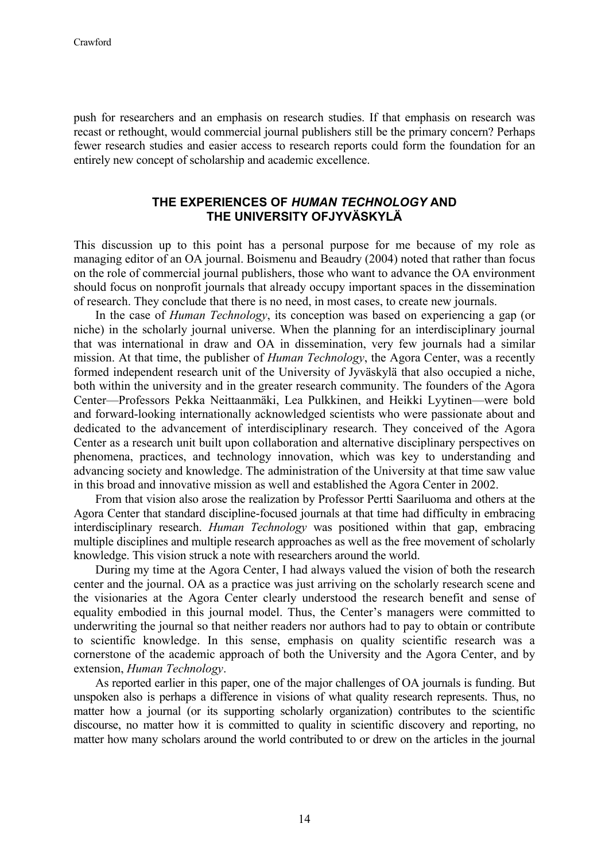push for researchers and an emphasis on research studies. If that emphasis on research was recast or rethought, would commercial journal publishers still be the primary concern? Perhaps fewer research studies and easier access to research reports could form the foundation for an entirely new concept of scholarship and academic excellence.

### **THE EXPERIENCES OF** *HUMAN TECHNOLOGY* **AND THE UNIVERSITY OFJYVÄSKYLÄ**

This discussion up to this point has a personal purpose for me because of my role as managing editor of an OA journal. Boismenu and Beaudry (2004) noted that rather than focus on the role of commercial journal publishers, those who want to advance the OA environment should focus on nonprofit journals that already occupy important spaces in the dissemination of research. They conclude that there is no need, in most cases, to create new journals.

In the case of *Human Technology*, its conception was based on experiencing a gap (or niche) in the scholarly journal universe. When the planning for an interdisciplinary journal that was international in draw and OA in dissemination, very few journals had a similar mission. At that time, the publisher of *Human Technology*, the Agora Center, was a recently formed independent research unit of the University of Jyväskylä that also occupied a niche, both within the university and in the greater research community. The founders of the Agora Center—Professors Pekka Neittaanmäki, Lea Pulkkinen, and Heikki Lyytinen—were bold and forward-looking internationally acknowledged scientists who were passionate about and dedicated to the advancement of interdisciplinary research. They conceived of the Agora Center as a research unit built upon collaboration and alternative disciplinary perspectives on phenomena, practices, and technology innovation, which was key to understanding and advancing society and knowledge. The administration of the University at that time saw value in this broad and innovative mission as well and established the Agora Center in 2002.

From that vision also arose the realization by Professor Pertti Saariluoma and others at the Agora Center that standard discipline-focused journals at that time had difficulty in embracing interdisciplinary research. *Human Technology* was positioned within that gap, embracing multiple disciplines and multiple research approaches as well as the free movement of scholarly knowledge. This vision struck a note with researchers around the world.

During my time at the Agora Center, I had always valued the vision of both the research center and the journal. OA as a practice was just arriving on the scholarly research scene and the visionaries at the Agora Center clearly understood the research benefit and sense of equality embodied in this journal model. Thus, the Center's managers were committed to underwriting the journal so that neither readers nor authors had to pay to obtain or contribute to scientific knowledge. In this sense, emphasis on quality scientific research was a cornerstone of the academic approach of both the University and the Agora Center, and by extension, *Human Technology*.

As reported earlier in this paper, one of the major challenges of OA journals is funding. But unspoken also is perhaps a difference in visions of what quality research represents. Thus, no matter how a journal (or its supporting scholarly organization) contributes to the scientific discourse, no matter how it is committed to quality in scientific discovery and reporting, no matter how many scholars around the world contributed to or drew on the articles in the journal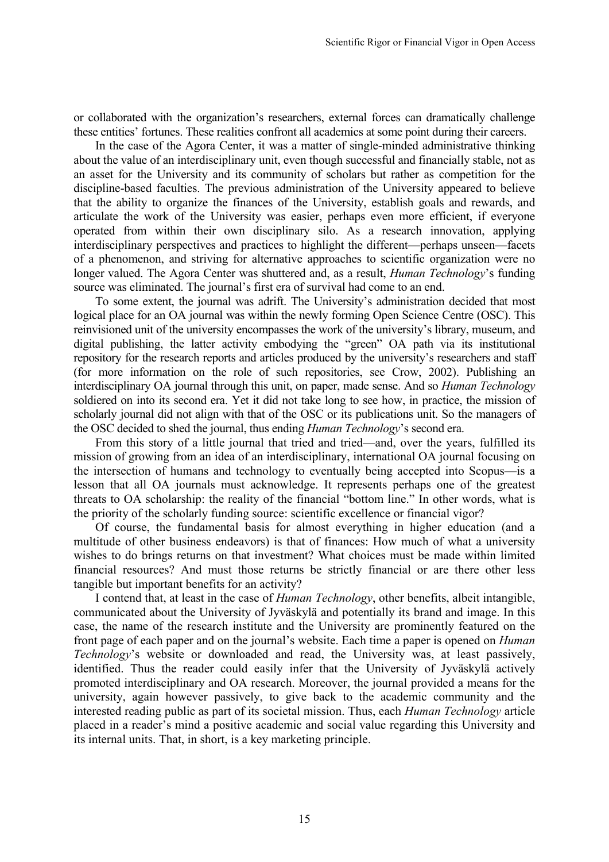or collaborated with the organization's researchers, external forces can dramatically challenge these entities' fortunes. These realities confront all academics at some point during their careers.

In the case of the Agora Center, it was a matter of single-minded administrative thinking about the value of an interdisciplinary unit, even though successful and financially stable, not as an asset for the University and its community of scholars but rather as competition for the discipline-based faculties. The previous administration of the University appeared to believe that the ability to organize the finances of the University, establish goals and rewards, and articulate the work of the University was easier, perhaps even more efficient, if everyone operated from within their own disciplinary silo. As a research innovation, applying interdisciplinary perspectives and practices to highlight the different—perhaps unseen—facets of a phenomenon, and striving for alternative approaches to scientific organization were no longer valued. The Agora Center was shuttered and, as a result, *Human Technology*'s funding source was eliminated. The journal's first era of survival had come to an end.

To some extent, the journal was adrift. The University's administration decided that most logical place for an OA journal was within the newly forming Open Science Centre (OSC). This reinvisioned unit of the university encompasses the work of the university's library, museum, and digital publishing, the latter activity embodying the "green" OA path via its institutional repository for the research reports and articles produced by the university's researchers and staff (for more information on the role of such repositories, see Crow, 2002). Publishing an interdisciplinary OA journal through this unit, on paper, made sense. And so *Human Technology* soldiered on into its second era. Yet it did not take long to see how, in practice, the mission of scholarly journal did not align with that of the OSC or its publications unit. So the managers of the OSC decided to shed the journal, thus ending *Human Technology*'s second era.

From this story of a little journal that tried and tried—and, over the years, fulfilled its mission of growing from an idea of an interdisciplinary, international OA journal focusing on the intersection of humans and technology to eventually being accepted into Scopus—is a lesson that all OA journals must acknowledge. It represents perhaps one of the greatest threats to OA scholarship: the reality of the financial "bottom line." In other words, what is the priority of the scholarly funding source: scientific excellence or financial vigor?

Of course, the fundamental basis for almost everything in higher education (and a multitude of other business endeavors) is that of finances: How much of what a university wishes to do brings returns on that investment? What choices must be made within limited financial resources? And must those returns be strictly financial or are there other less tangible but important benefits for an activity?

I contend that, at least in the case of *Human Technology*, other benefits, albeit intangible, communicated about the University of Jyväskylä and potentially its brand and image. In this case, the name of the research institute and the University are prominently featured on the front page of each paper and on the journal's website. Each time a paper is opened on *Human Technology*'s website or downloaded and read, the University was, at least passively, identified. Thus the reader could easily infer that the University of Jyväskylä actively promoted interdisciplinary and OA research. Moreover, the journal provided a means for the university, again however passively, to give back to the academic community and the interested reading public as part of its societal mission. Thus, each *Human Technology* article placed in a reader's mind a positive academic and social value regarding this University and its internal units. That, in short, is a key marketing principle.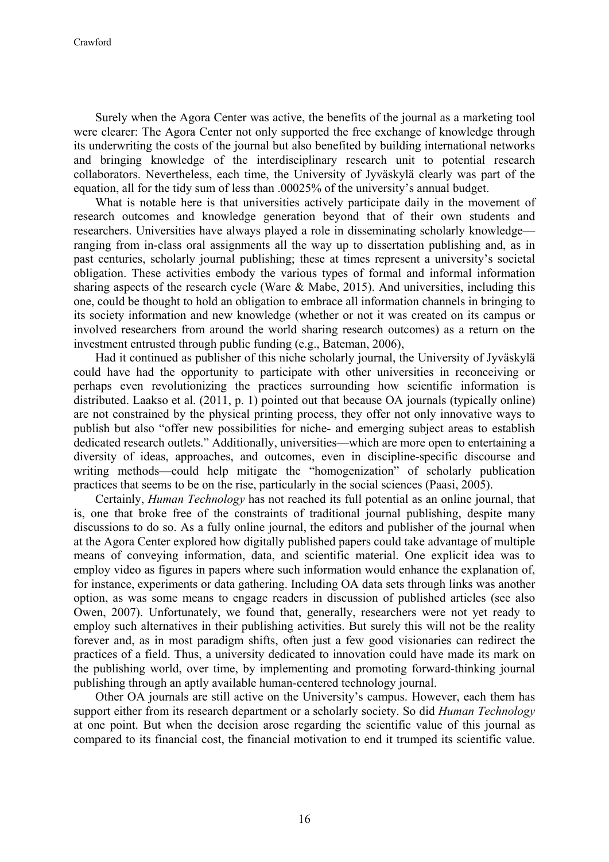Surely when the Agora Center was active, the benefits of the journal as a marketing tool were clearer: The Agora Center not only supported the free exchange of knowledge through its underwriting the costs of the journal but also benefited by building international networks and bringing knowledge of the interdisciplinary research unit to potential research collaborators. Nevertheless, each time, the University of Jyväskylä clearly was part of the equation, all for the tidy sum of less than .00025% of the university's annual budget.

What is notable here is that universities actively participate daily in the movement of research outcomes and knowledge generation beyond that of their own students and researchers. Universities have always played a role in disseminating scholarly knowledge ranging from in-class oral assignments all the way up to dissertation publishing and, as in past centuries, scholarly journal publishing; these at times represent a university's societal obligation. These activities embody the various types of formal and informal information sharing aspects of the research cycle (Ware & Mabe, 2015). And universities, including this one, could be thought to hold an obligation to embrace all information channels in bringing to its society information and new knowledge (whether or not it was created on its campus or involved researchers from around the world sharing research outcomes) as a return on the investment entrusted through public funding (e.g., Bateman, 2006),

Had it continued as publisher of this niche scholarly journal, the University of Jyväskylä could have had the opportunity to participate with other universities in reconceiving or perhaps even revolutionizing the practices surrounding how scientific information is distributed. Laakso et al. (2011, p. 1) pointed out that because OA journals (typically online) are not constrained by the physical printing process, they offer not only innovative ways to publish but also "offer new possibilities for niche- and emerging subject areas to establish dedicated research outlets." Additionally, universities—which are more open to entertaining a diversity of ideas, approaches, and outcomes, even in discipline-specific discourse and writing methods—could help mitigate the "homogenization" of scholarly publication practices that seems to be on the rise, particularly in the social sciences (Paasi, 2005).

Certainly, *Human Technology* has not reached its full potential as an online journal, that is, one that broke free of the constraints of traditional journal publishing, despite many discussions to do so. As a fully online journal, the editors and publisher of the journal when at the Agora Center explored how digitally published papers could take advantage of multiple means of conveying information, data, and scientific material. One explicit idea was to employ video as figures in papers where such information would enhance the explanation of, for instance, experiments or data gathering. Including OA data sets through links was another option, as was some means to engage readers in discussion of published articles (see also Owen, 2007). Unfortunately, we found that, generally, researchers were not yet ready to employ such alternatives in their publishing activities. But surely this will not be the reality forever and, as in most paradigm shifts, often just a few good visionaries can redirect the practices of a field. Thus, a university dedicated to innovation could have made its mark on the publishing world, over time, by implementing and promoting forward-thinking journal publishing through an aptly available human-centered technology journal.

Other OA journals are still active on the University's campus. However, each them has support either from its research department or a scholarly society. So did *Human Technology* at one point. But when the decision arose regarding the scientific value of this journal as compared to its financial cost, the financial motivation to end it trumped its scientific value.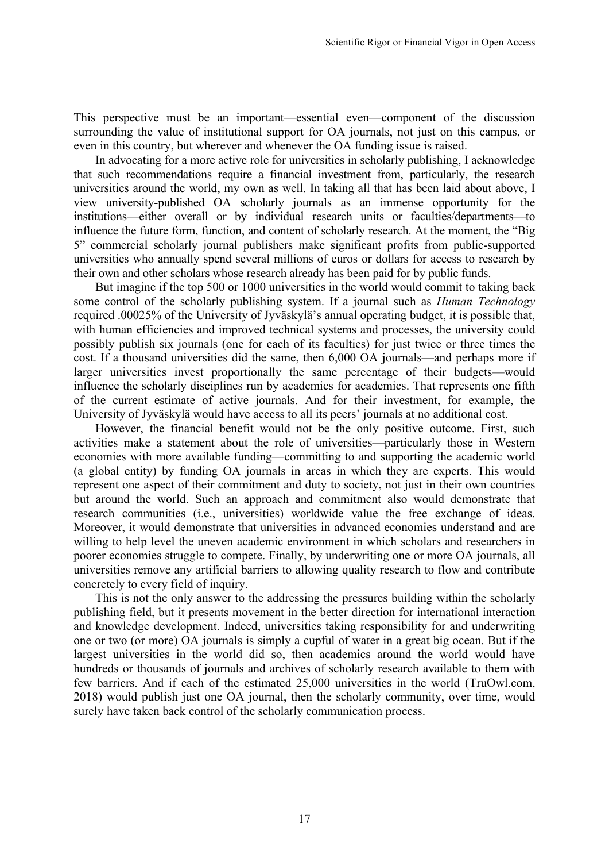This perspective must be an important—essential even—component of the discussion surrounding the value of institutional support for OA journals, not just on this campus, or even in this country, but wherever and whenever the OA funding issue is raised.

In advocating for a more active role for universities in scholarly publishing, I acknowledge that such recommendations require a financial investment from, particularly, the research universities around the world, my own as well. In taking all that has been laid about above, I view university-published OA scholarly journals as an immense opportunity for the institutions—either overall or by individual research units or faculties/departments—to influence the future form, function, and content of scholarly research. At the moment, the "Big 5" commercial scholarly journal publishers make significant profits from public-supported universities who annually spend several millions of euros or dollars for access to research by their own and other scholars whose research already has been paid for by public funds.

But imagine if the top 500 or 1000 universities in the world would commit to taking back some control of the scholarly publishing system. If a journal such as *Human Technology* required .00025% of the University of Jyväskylä's annual operating budget, it is possible that, with human efficiencies and improved technical systems and processes, the university could possibly publish six journals (one for each of its faculties) for just twice or three times the cost. If a thousand universities did the same, then 6,000 OA journals—and perhaps more if larger universities invest proportionally the same percentage of their budgets—would influence the scholarly disciplines run by academics for academics. That represents one fifth of the current estimate of active journals. And for their investment, for example, the University of Jyväskylä would have access to all its peers' journals at no additional cost.

However, the financial benefit would not be the only positive outcome. First, such activities make a statement about the role of universities—particularly those in Western economies with more available funding—committing to and supporting the academic world (a global entity) by funding OA journals in areas in which they are experts. This would represent one aspect of their commitment and duty to society, not just in their own countries but around the world. Such an approach and commitment also would demonstrate that research communities (i.e., universities) worldwide value the free exchange of ideas. Moreover, it would demonstrate that universities in advanced economies understand and are willing to help level the uneven academic environment in which scholars and researchers in poorer economies struggle to compete. Finally, by underwriting one or more OA journals, all universities remove any artificial barriers to allowing quality research to flow and contribute concretely to every field of inquiry.

This is not the only answer to the addressing the pressures building within the scholarly publishing field, but it presents movement in the better direction for international interaction and knowledge development. Indeed, universities taking responsibility for and underwriting one or two (or more) OA journals is simply a cupful of water in a great big ocean. But if the largest universities in the world did so, then academics around the world would have hundreds or thousands of journals and archives of scholarly research available to them with few barriers. And if each of the estimated 25,000 universities in the world (TruOwl.com, 2018) would publish just one OA journal, then the scholarly community, over time, would surely have taken back control of the scholarly communication process.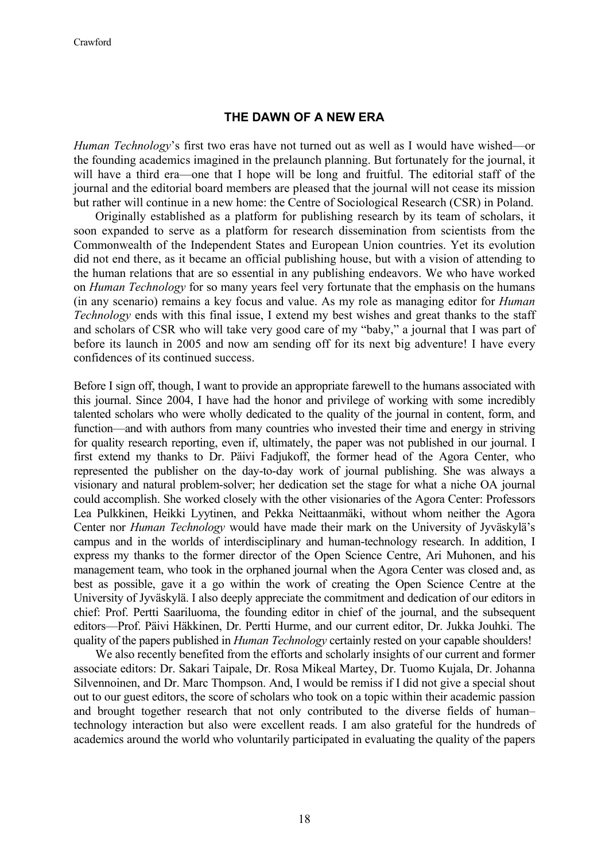#### **THE DAWN OF A NEW ERA**

*Human Technology*'s first two eras have not turned out as well as I would have wished—or the founding academics imagined in the prelaunch planning. But fortunately for the journal, it will have a third era—one that I hope will be long and fruitful. The editorial staff of the journal and the editorial board members are pleased that the journal will not cease its mission but rather will continue in a new home: the Centre of Sociological Research (CSR) in Poland.

Originally established as a platform for publishing research by its team of scholars, it soon expanded to serve as a platform for research dissemination from scientists from the Commonwealth of the Independent States and European Union countries. Yet its evolution did not end there, as it became an official publishing house, but with a vision of attending to the human relations that are so essential in any publishing endeavors. We who have worked on *Human Technology* for so many years feel very fortunate that the emphasis on the humans (in any scenario) remains a key focus and value. As my role as managing editor for *Human Technology* ends with this final issue, I extend my best wishes and great thanks to the staff and scholars of CSR who will take very good care of my "baby," a journal that I was part of before its launch in 2005 and now am sending off for its next big adventure! I have every confidences of its continued success.

Before I sign off, though, I want to provide an appropriate farewell to the humans associated with this journal. Since 2004, I have had the honor and privilege of working with some incredibly talented scholars who were wholly dedicated to the quality of the journal in content, form, and function—and with authors from many countries who invested their time and energy in striving for quality research reporting, even if, ultimately, the paper was not published in our journal. I first extend my thanks to Dr. Päivi Fadjukoff, the former head of the Agora Center, who represented the publisher on the day-to-day work of journal publishing. She was always a visionary and natural problem-solver; her dedication set the stage for what a niche OA journal could accomplish. She worked closely with the other visionaries of the Agora Center: Professors Lea Pulkkinen, Heikki Lyytinen, and Pekka Neittaanmäki, without whom neither the Agora Center nor *Human Technology* would have made their mark on the University of Jyväskylä's campus and in the worlds of interdisciplinary and human-technology research. In addition, I express my thanks to the former director of the Open Science Centre, Ari Muhonen, and his management team, who took in the orphaned journal when the Agora Center was closed and, as best as possible, gave it a go within the work of creating the Open Science Centre at the University of Jyväskylä. I also deeply appreciate the commitment and dedication of our editors in chief: Prof. Pertti Saariluoma, the founding editor in chief of the journal, and the subsequent editors—Prof. Päivi Häkkinen, Dr. Pertti Hurme, and our current editor, Dr. Jukka Jouhki. The quality of the papers published in *Human Technology* certainly rested on your capable shoulders!

We also recently benefited from the efforts and scholarly insights of our current and former associate editors: Dr. Sakari Taipale, Dr. Rosa Mikeal Martey, Dr. Tuomo Kujala, Dr. Johanna Silvennoinen, and Dr. Marc Thompson. And, I would be remiss if I did not give a special shout out to our guest editors, the score of scholars who took on a topic within their academic passion and brought together research that not only contributed to the diverse fields of human– technology interaction but also were excellent reads. I am also grateful for the hundreds of academics around the world who voluntarily participated in evaluating the quality of the papers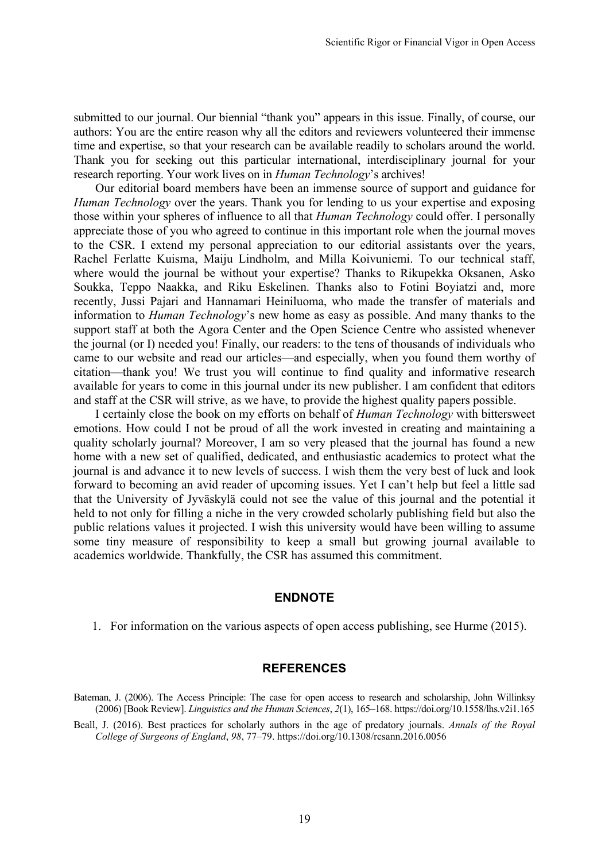submitted to our journal. Our biennial "thank you" appears in this issue. Finally, of course, our authors: You are the entire reason why all the editors and reviewers volunteered their immense time and expertise, so that your research can be available readily to scholars around the world. Thank you for seeking out this particular international, interdisciplinary journal for your research reporting. Your work lives on in *Human Technology*'s archives!

Our editorial board members have been an immense source of support and guidance for *Human Technology* over the years. Thank you for lending to us your expertise and exposing those within your spheres of influence to all that *Human Technology* could offer. I personally appreciate those of you who agreed to continue in this important role when the journal moves to the CSR. I extend my personal appreciation to our editorial assistants over the years, Rachel Ferlatte Kuisma, Maiju Lindholm, and Milla Koivuniemi. To our technical staff, where would the journal be without your expertise? Thanks to Rikupekka Oksanen, Asko Soukka, Teppo Naakka, and Riku Eskelinen. Thanks also to Fotini Boyiatzi and, more recently, Jussi Pajari and Hannamari Heiniluoma, who made the transfer of materials and information to *Human Technology*'s new home as easy as possible. And many thanks to the support staff at both the Agora Center and the Open Science Centre who assisted whenever the journal (or I) needed you! Finally, our readers: to the tens of thousands of individuals who came to our website and read our articles—and especially, when you found them worthy of citation—thank you! We trust you will continue to find quality and informative research available for years to come in this journal under its new publisher. I am confident that editors and staff at the CSR will strive, as we have, to provide the highest quality papers possible.

I certainly close the book on my efforts on behalf of *Human Technology* with bittersweet emotions. How could I not be proud of all the work invested in creating and maintaining a quality scholarly journal? Moreover, I am so very pleased that the journal has found a new home with a new set of qualified, dedicated, and enthusiastic academics to protect what the journal is and advance it to new levels of success. I wish them the very best of luck and look forward to becoming an avid reader of upcoming issues. Yet I can't help but feel a little sad that the University of Jyväskylä could not see the value of this journal and the potential it held to not only for filling a niche in the very crowded scholarly publishing field but also the public relations values it projected. I wish this university would have been willing to assume some tiny measure of responsibility to keep a small but growing journal available to academics worldwide. Thankfully, the CSR has assumed this commitment.

#### **ENDNOTE**

1. For information on the various aspects of open access publishing, see Hurme (2015).

#### **REFERENCES**

Bateman, J. (2006). The Access Principle: The case for open access to research and scholarship, John Willinksy (2006) [Book Review]. *Linguistics and the Human Sciences*, *2*(1), 165–168. <https://doi.org/10.1558/lhs.v2i1.165>

Beall, J. (2016). Best practices for scholarly authors in the age of predatory journals. *Annals of the Royal College of Surgeons of England*, *98*, 77–79. https://doi.org/10.1308/rcsann.2016.0056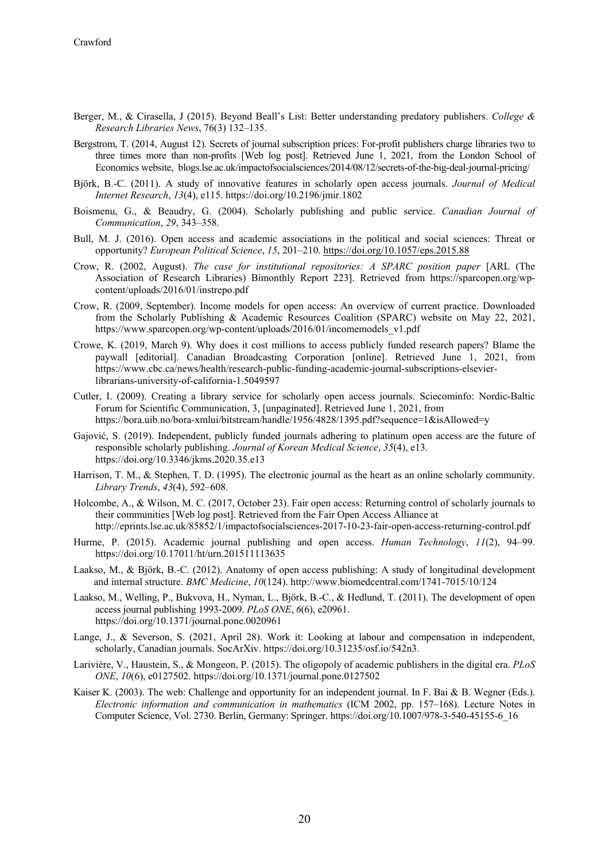- Berger, M., & Cirasella, J (2015). Beyond Beall's List: Better understanding predatory publishers. *College & Research Libraries News*, 76(3) 132–135.
- Bergstrom, T. (2014, August 12). Secrets of journal subscription prices: For-profit publishers charge libraries two to three times more than non-profits [Web log post]. Retrieved June 1, 2021, from the London School of Economics website, blogs.lse.ac.uk/impactofsocialsciences/2014/08/12/secrets-of-the-big-deal-journal-pricing/
- Björk, B.-C. (2011). A study of innovative features in scholarly open access journals. *Journal of Medical Internet Research*, *13*(4), e115. https://doi.org/10.2196/jmir.1802
- Boismenu, G., & Beaudry, G. (2004). Scholarly publishing and public service. *Canadian Journal of Communication*, *29*, 343–358.
- Bull, M. J. (2016). Open access and academic associations in the political and social sciences: Threat or opportunity? *European Political Science*, *15*, 201–210.<https://doi.org/10.1057/eps.2015.88>
- Crow, R. (2002, August). *The case for institutional repositories: A SPARC position paper* [ARL (The Association of Research Libraries) Bimonthly Report 223]. Retrieved from https://sparcopen.org/wpcontent/uploads/2016/01/instrepo.pdf
- Crow, R. (2009, September). Income models for open access: An overview of current practice. Downloaded from the Scholarly Publishing & Academic Resources Coalition (SPARC) website on May 22, 2021, https://www.sparcopen.org/wp-content/uploads/2016/01/incomemodels\_v1.pdf
- Crowe, K. (2019, March 9). Why does it cost millions to access publicly funded research papers? Blame the paywall [editorial]. Canadian Broadcasting Corporation [online]. Retrieved June 1, 2021, from https://www.cbc.ca/news/health/research-public-funding-academic-journal-subscriptions-elsevierlibrarians-university-of-california-1.5049597
- Cutler, I. (2009). Creating a library service for scholarly open access journals. Sciecominfo: Nordic-Baltic Forum for Scientific Communication, 3, [unpaginated]. Retrieved June 1, 2021, from https://bora.uib.no/bora-xmlui/bitstream/handle/1956/4828/1395.pdf?sequence=1&isAllowed=y
- Gajović, S. (2019). Independent, publicly funded journals adhering to platinum open access are the future of responsible scholarly publishing. *Journal of Korean Medical Science*, *35*(4), e13. https://doi.org/10.3346/jkms.2020.35.e13
- Harrison, T. M., & Stephen, T. D. (1995). The electronic journal as the heart as an online scholarly community. *Library Trends*, *43*(4), 592–608.
- Holcombe, A., & Wilson, M. C. (2017, October 23). Fair open access: Returning control of scholarly journals to their communities [Web log post]. Retrieved from the Fair Open Access Alliance at http://eprints.lse.ac.uk/85852/1/impactofsocialsciences-2017-10-23-fair-open-access-returning-control.pdf
- Hurme, P. (2015). Academic journal publishing and open access. *Human Technology*, *11*(2), 94–99. https://doi.org/10.17011/ht/urn.201511113635
- Laakso, M., & Björk, B.-C. (2012). Anatomy of open access publishing: A study of longitudinal development and internal structure. *BMC Medicine*, *10*(124). http://www.biomedcentral.com/1741-7015/10/124
- Laakso, M., Welling, P., Bukvova, H., Nyman, L., Björk, B.-C., & Hedlund, T. (2011). The development of open access journal publishing 1993-2009. *PLoS ONE*, *6*(6), e20961. https://doi.org/10.1371/journal.pone.0020961
- Lange, J., & Severson, S. (2021, April 28). Work it: Looking at labour and compensation in independent, scholarly, Canadian journals. SocArXiv. https://doi.org/10.31235/osf.io/542n3.
- Larivière, V., Haustein, S., & Mongeon, P. (2015). The oligopoly of academic publishers in the digital era. *PLoS ONE*, *10*(6), e0127502. https://doi.org/10.1371/journal.pone.0127502
- Kaiser K. (2003). The web: Challenge and opportunity for an independent journal. In F. Bai & B. Wegner (Eds.). *Electronic information and communication in mathematics* (ICM 2002, pp. 157–168). Lecture Notes in Computer Science, Vol. 2730. Berlin, Germany: Springer. https://doi.org/10.1007/978-3-540-45155-6\_16